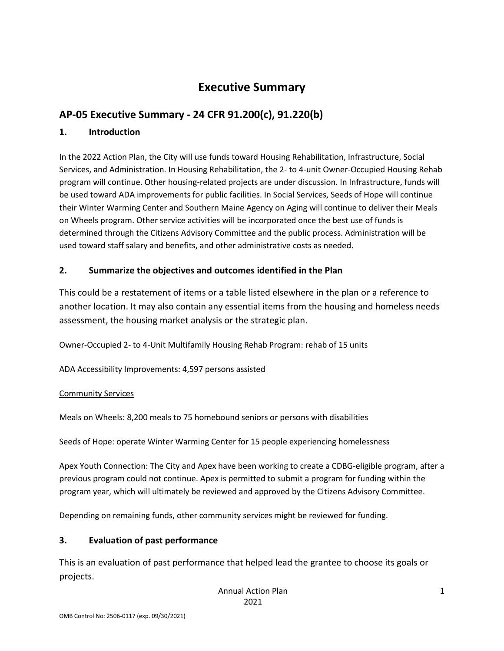# **Executive Summary**

## **AP-05 Executive Summary - 24 CFR 91.200(c), 91.220(b)**

#### **1. Introduction**

In the 2022 Action Plan, the City will use funds toward Housing Rehabilitation, Infrastructure, Social Services, and Administration. In Housing Rehabilitation, the 2- to 4-unit Owner-Occupied Housing Rehab program will continue. Other housing-related projects are under discussion. In Infrastructure, funds will be used toward ADA improvements for public facilities. In Social Services, Seeds of Hope will continue their Winter Warming Center and Southern Maine Agency on Aging will continue to deliver their Meals on Wheels program. Other service activities will be incorporated once the best use of funds is determined through the Citizens Advisory Committee and the public process. Administration will be used toward staff salary and benefits, and other administrative costs as needed.

## **2. Summarize the objectives and outcomes identified in the Plan**

This could be a restatement of items or a table listed elsewhere in the plan or a reference to another location. It may also contain any essential items from the housing and homeless needs assessment, the housing market analysis or the strategic plan.

Owner-Occupied 2- to 4-Unit Multifamily Housing Rehab Program: rehab of 15 units

ADA Accessibility Improvements: 4,597 persons assisted

#### Community Services

Meals on Wheels: 8,200 meals to 75 homebound seniors or persons with disabilities

Seeds of Hope: operate Winter Warming Center for 15 people experiencing homelessness

Apex Youth Connection: The City and Apex have been working to create a CDBG-eligible program, after a previous program could not continue. Apex is permitted to submit a program for funding within the program year, which will ultimately be reviewed and approved by the Citizens Advisory Committee.

Depending on remaining funds, other community services might be reviewed for funding.

## **3. Evaluation of past performance**

This is an evaluation of past performance that helped lead the grantee to choose its goals or projects.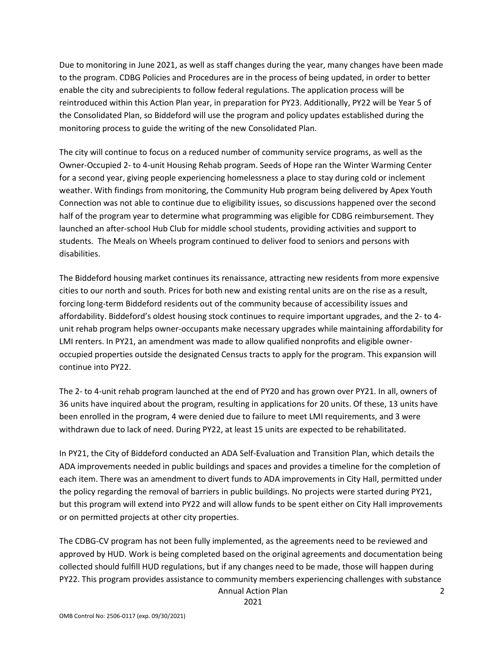Due to monitoring in June 2021, as well as staff changes during the year, many changes have been made to the program. CDBG Policies and Procedures are in the process of being updated, in order to better enable the city and subrecipients to follow federal regulations. The application process will be reintroduced within this Action Plan year, in preparation for PY23. Additionally, PY22 will be Year 5 of the Consolidated Plan, so Biddeford will use the program and policy updates established during the monitoring process to guide the writing of the new Consolidated Plan.

The city will continue to focus on a reduced number of community service programs, as well as the Owner-Occupied 2- to 4-unit Housing Rehab program. Seeds of Hope ran the Winter Warming Center for a second year, giving people experiencing homelessness a place to stay during cold or inclement weather. With findings from monitoring, the Community Hub program being delivered by Apex Youth Connection was not able to continue due to eligibility issues, so discussions happened over the second half of the program year to determine what programming was eligible for CDBG reimbursement. They launched an after-school Hub Club for middle school students, providing activities and support to students. The Meals on Wheels program continued to deliver food to seniors and persons with disabilities.

The Biddeford housing market continues its renaissance, attracting new residents from more expensive cities to our north and south. Prices for both new and existing rental units are on the rise as a result, forcing long-term Biddeford residents out of the community because of accessibility issues and affordability. Biddeford's oldest housing stock continues to require important upgrades, and the 2- to 4 unit rehab program helps owner-occupants make necessary upgrades while maintaining affordability for LMI renters. In PY21, an amendment was made to allow qualified nonprofits and eligible owneroccupied properties outside the designated Census tracts to apply for the program. This expansion will continue into PY22.

The 2- to 4-unit rehab program launched at the end of PY20 and has grown over PY21. In all, owners of 36 units have inquired about the program, resulting in applications for 20 units. Of these, 13 units have been enrolled in the program, 4 were denied due to failure to meet LMI requirements, and 3 were withdrawn due to lack of need. During PY22, at least 15 units are expected to be rehabilitated.

In PY21, the City of Biddeford conducted an ADA Self-Evaluation and Transition Plan, which details the ADA improvements needed in public buildings and spaces and provides a timeline for the completion of each item. There was an amendment to divert funds to ADA improvements in City Hall, permitted under the policy regarding the removal of barriers in public buildings. No projects were started during PY21, but this program will extend into PY22 and will allow funds to be spent either on City Hall improvements or on permitted projects at other city properties.

Annual Action Plan The CDBG-CV program has not been fully implemented, as the agreements need to be reviewed and approved by HUD. Work is being completed based on the original agreements and documentation being collected should fulfill HUD regulations, but if any changes need to be made, those will happen during PY22. This program provides assistance to community members experiencing challenges with substance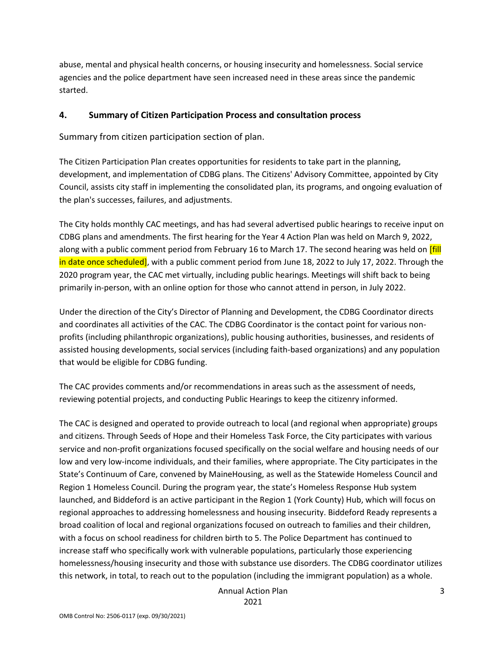abuse, mental and physical health concerns, or housing insecurity and homelessness. Social service agencies and the police department have seen increased need in these areas since the pandemic started.

#### **4. Summary of Citizen Participation Process and consultation process**

Summary from citizen participation section of plan.

The Citizen Participation Plan creates opportunities for residents to take part in the planning, development, and implementation of CDBG plans. The Citizens' Advisory Committee, appointed by City Council, assists city staff in implementing the consolidated plan, its programs, and ongoing evaluation of the plan's successes, failures, and adjustments.

The City holds monthly CAC meetings, and has had several advertised public hearings to receive input on CDBG plans and amendments. The first hearing for the Year 4 Action Plan was held on March 9, 2022, along with a public comment period from February 16 to March 17. The second hearing was held on **[fill**] in date once scheduled], with a public comment period from June 18, 2022 to July 17, 2022. Through the 2020 program year, the CAC met virtually, including public hearings. Meetings will shift back to being primarily in-person, with an online option for those who cannot attend in person, in July 2022.

Under the direction of the City's Director of Planning and Development, the CDBG Coordinator directs and coordinates all activities of the CAC. The CDBG Coordinator is the contact point for various nonprofits (including philanthropic organizations), public housing authorities, businesses, and residents of assisted housing developments, social services (including faith-based organizations) and any population that would be eligible for CDBG funding.

The CAC provides comments and/or recommendations in areas such as the assessment of needs, reviewing potential projects, and conducting Public Hearings to keep the citizenry informed.

The CAC is designed and operated to provide outreach to local (and regional when appropriate) groups and citizens. Through Seeds of Hope and their Homeless Task Force, the City participates with various service and non-profit organizations focused specifically on the social welfare and housing needs of our low and very low-income individuals, and their families, where appropriate. The City participates in the State's Continuum of Care, convened by MaineHousing, as well as the Statewide Homeless Council and Region 1 Homeless Council. During the program year, the state's Homeless Response Hub system launched, and Biddeford is an active participant in the Region 1 (York County) Hub, which will focus on regional approaches to addressing homelessness and housing insecurity. Biddeford Ready represents a broad coalition of local and regional organizations focused on outreach to families and their children, with a focus on school readiness for children birth to 5. The Police Department has continued to increase staff who specifically work with vulnerable populations, particularly those experiencing homelessness/housing insecurity and those with substance use disorders. The CDBG coordinator utilizes this network, in total, to reach out to the population (including the immigrant population) as a whole.

Annual Action Plan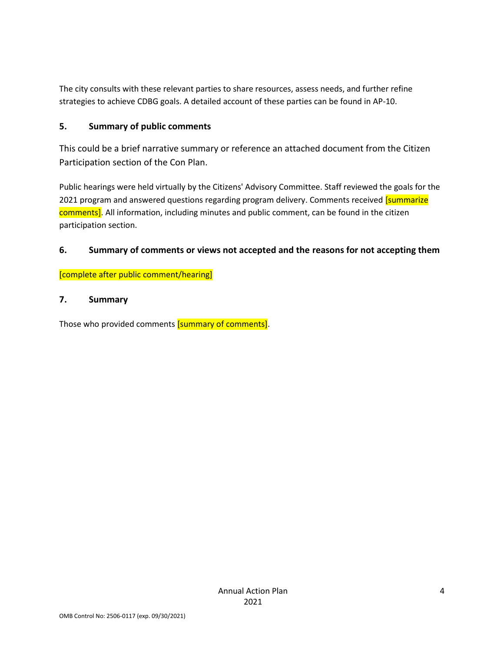The city consults with these relevant parties to share resources, assess needs, and further refine strategies to achieve CDBG goals. A detailed account of these parties can be found in AP-10.

#### **5. Summary of public comments**

This could be a brief narrative summary or reference an attached document from the Citizen Participation section of the Con Plan.

Public hearings were held virtually by the Citizens' Advisory Committee. Staff reviewed the goals for the 2021 program and answered questions regarding program delivery. Comments received [summarize comments]. All information, including minutes and public comment, can be found in the citizen participation section.

#### **6. Summary of comments or views not accepted and the reasons for not accepting them**

[complete after public comment/hearing]

#### **7. Summary**

Those who provided comments [summary of comments].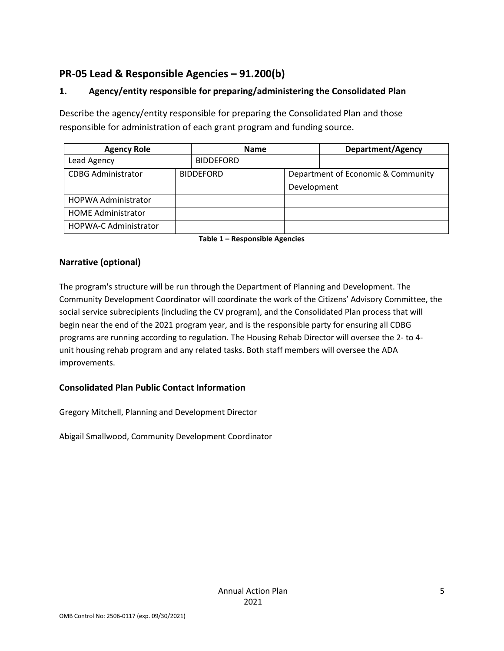## **PR-05 Lead & Responsible Agencies – 91.200(b)**

## **1. Agency/entity responsible for preparing/administering the Consolidated Plan**

Describe the agency/entity responsible for preparing the Consolidated Plan and those responsible for administration of each grant program and funding source.

| <b>Agency Role</b>           | <b>Name</b> |                  | Department/Agency                  |  |
|------------------------------|-------------|------------------|------------------------------------|--|
| Lead Agency                  |             | <b>BIDDEFORD</b> |                                    |  |
| <b>CDBG Administrator</b>    |             | <b>BIDDEFORD</b> | Department of Economic & Community |  |
|                              |             |                  | Development                        |  |
| <b>HOPWA Administrator</b>   |             |                  |                                    |  |
| <b>HOME Administrator</b>    |             |                  |                                    |  |
| <b>HOPWA-C Administrator</b> |             |                  |                                    |  |

**Table 1 – Responsible Agencies**

## **Narrative (optional)**

The program's structure will be run through the Department of Planning and Development. The Community Development Coordinator will coordinate the work of the Citizens' Advisory Committee, the social service subrecipients (including the CV program), and the Consolidated Plan process that will begin near the end of the 2021 program year, and is the responsible party for ensuring all CDBG programs are running according to regulation. The Housing Rehab Director will oversee the 2- to 4 unit housing rehab program and any related tasks. Both staff members will oversee the ADA improvements.

## **Consolidated Plan Public Contact Information**

Gregory Mitchell, Planning and Development Director

Abigail Smallwood, Community Development Coordinator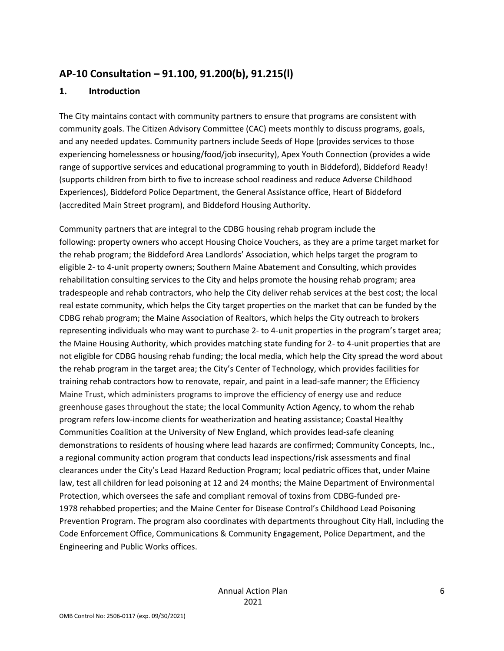## **AP-10 Consultation – 91.100, 91.200(b), 91.215(l)**

#### **1. Introduction**

The City maintains contact with community partners to ensure that programs are consistent with community goals. The Citizen Advisory Committee (CAC) meets monthly to discuss programs, goals, and any needed updates. Community partners include Seeds of Hope (provides services to those experiencing homelessness or housing/food/job insecurity), Apex Youth Connection (provides a wide range of supportive services and educational programming to youth in Biddeford), Biddeford Ready! (supports children from birth to five to increase school readiness and reduce Adverse Childhood Experiences), Biddeford Police Department, the General Assistance office, Heart of Biddeford (accredited Main Street program), and Biddeford Housing Authority.

Community partners that are integral to the CDBG housing rehab program include the following: property owners who accept Housing Choice Vouchers, as they are a prime target market for the rehab program; the Biddeford Area Landlords' Association, which helps target the program to eligible 2- to 4-unit property owners; Southern Maine Abatement and Consulting, which provides rehabilitation consulting services to the City and helps promote the housing rehab program; area tradespeople and rehab contractors, who help the City deliver rehab services at the best cost; the local real estate community, which helps the City target properties on the market that can be funded by the CDBG rehab program; the Maine Association of Realtors, which helps the City outreach to brokers representing individuals who may want to purchase 2- to 4-unit properties in the program's target area; the Maine Housing Authority, which provides matching state funding for 2- to 4-unit properties that are not eligible for CDBG housing rehab funding; the local media, which help the City spread the word about the rehab program in the target area; the City's Center of Technology, which provides facilities for training rehab contractors how to renovate, repair, and paint in a lead-safe manner; the Efficiency Maine Trust, which administers programs to improve the efficiency of energy use and reduce greenhouse gases throughout the state; the local Community Action Agency, to whom the rehab program refers low-income clients for weatherization and heating assistance; Coastal Healthy Communities Coalition at the University of New England, which provides lead-safe cleaning demonstrations to residents of housing where lead hazards are confirmed; Community Concepts, Inc., a regional community action program that conducts lead inspections/risk assessments and final clearances under the City's Lead Hazard Reduction Program; local pediatric offices that, under Maine law, test all children for lead poisoning at 12 and 24 months; the Maine Department of Environmental Protection, which oversees the safe and compliant removal of toxins from CDBG-funded pre-1978 rehabbed properties; and the Maine Center for Disease Control's Childhood Lead Poisoning Prevention Program. The program also coordinates with departments throughout City Hall, including the Code Enforcement Office, Communications & Community Engagement, Police Department, and the Engineering and Public Works offices.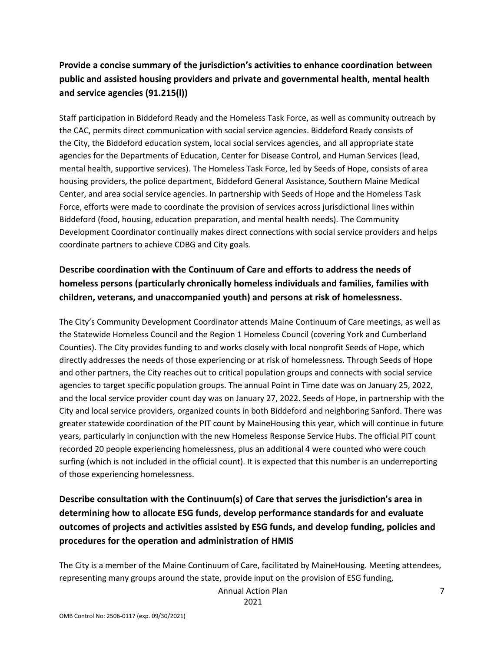## **Provide a concise summary of the jurisdiction's activities to enhance coordination between public and assisted housing providers and private and governmental health, mental health and service agencies (91.215(l))**

Staff participation in Biddeford Ready and the Homeless Task Force, as well as community outreach by the CAC, permits direct communication with social service agencies. Biddeford Ready consists of the City, the Biddeford education system, local social services agencies, and all appropriate state agencies for the Departments of Education, Center for Disease Control, and Human Services (lead, mental health, supportive services). The Homeless Task Force, led by Seeds of Hope, consists of area housing providers, the police department, Biddeford General Assistance, Southern Maine Medical Center, and area social service agencies. In partnership with Seeds of Hope and the Homeless Task Force, efforts were made to coordinate the provision of services across jurisdictional lines within Biddeford (food, housing, education preparation, and mental health needs). The Community Development Coordinator continually makes direct connections with social service providers and helps coordinate partners to achieve CDBG and City goals.

## **Describe coordination with the Continuum of Care and efforts to address the needs of homeless persons (particularly chronically homeless individuals and families, families with children, veterans, and unaccompanied youth) and persons at risk of homelessness.**

The City's Community Development Coordinator attends Maine Continuum of Care meetings, as well as the Statewide Homeless Council and the Region 1 Homeless Council (covering York and Cumberland Counties). The City provides funding to and works closely with local nonprofit Seeds of Hope, which directly addresses the needs of those experiencing or at risk of homelessness. Through Seeds of Hope and other partners, the City reaches out to critical population groups and connects with social service agencies to target specific population groups. The annual Point in Time date was on January 25, 2022, and the local service provider count day was on January 27, 2022. Seeds of Hope, in partnership with the City and local service providers, organized counts in both Biddeford and neighboring Sanford. There was greater statewide coordination of the PIT count by MaineHousing this year, which will continue in future years, particularly in conjunction with the new Homeless Response Service Hubs. The official PIT count recorded 20 people experiencing homelessness, plus an additional 4 were counted who were couch surfing (which is not included in the official count). It is expected that this number is an underreporting of those experiencing homelessness.

## **Describe consultation with the Continuum(s) of Care that serves the jurisdiction's area in determining how to allocate ESG funds, develop performance standards for and evaluate outcomes of projects and activities assisted by ESG funds, and develop funding, policies and procedures for the operation and administration of HMIS**

The City is a member of the Maine Continuum of Care, facilitated by MaineHousing. Meeting attendees, representing many groups around the state, provide input on the provision of ESG funding,

Annual Action Plan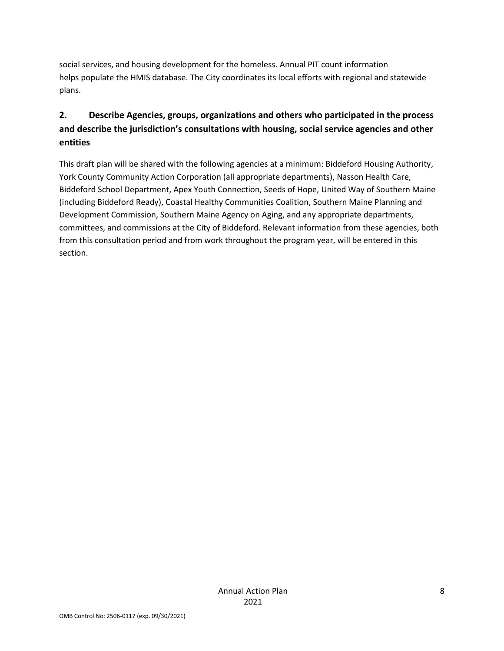social services, and housing development for the homeless. Annual PIT count information helps populate the HMIS database. The City coordinates its local efforts with regional and statewide plans.

## **2. Describe Agencies, groups, organizations and others who participated in the process and describe the jurisdiction's consultations with housing, social service agencies and other entities**

This draft plan will be shared with the following agencies at a minimum: Biddeford Housing Authority, York County Community Action Corporation (all appropriate departments), Nasson Health Care, Biddeford School Department, Apex Youth Connection, Seeds of Hope, United Way of Southern Maine (including Biddeford Ready), Coastal Healthy Communities Coalition, Southern Maine Planning and Development Commission, Southern Maine Agency on Aging, and any appropriate departments, committees, and commissions at the City of Biddeford. Relevant information from these agencies, both from this consultation period and from work throughout the program year, will be entered in this section.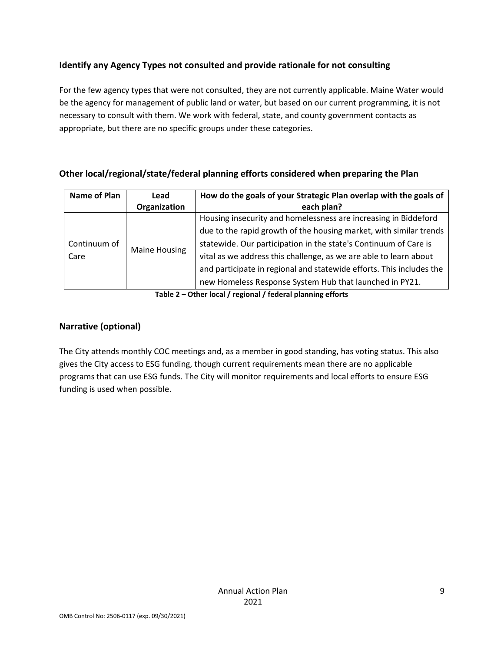## **Identify any Agency Types not consulted and provide rationale for not consulting**

For the few agency types that were not consulted, they are not currently applicable. Maine Water would be the agency for management of public land or water, but based on our current programming, it is not necessary to consult with them. We work with federal, state, and county government contacts as appropriate, but there are no specific groups under these categories.

## **Other local/regional/state/federal planning efforts considered when preparing the Plan**

| Name of Plan | Lead                 | How do the goals of your Strategic Plan overlap with the goals of    |
|--------------|----------------------|----------------------------------------------------------------------|
|              | Organization         | each plan?                                                           |
|              |                      | Housing insecurity and homelessness are increasing in Biddeford      |
|              | <b>Maine Housing</b> | due to the rapid growth of the housing market, with similar trends   |
| Continuum of |                      | statewide. Our participation in the state's Continuum of Care is     |
| Care         |                      | vital as we address this challenge, as we are able to learn about    |
|              |                      | and participate in regional and statewide efforts. This includes the |
|              |                      | new Homeless Response System Hub that launched in PY21.              |

**Table 2 – Other local / regional / federal planning efforts**

## **Narrative (optional)**

The City attends monthly COC meetings and, as a member in good standing, has voting status. This also gives the City access to ESG funding, though current requirements mean there are no applicable programs that can use ESG funds. The City will monitor requirements and local efforts to ensure ESG funding is used when possible.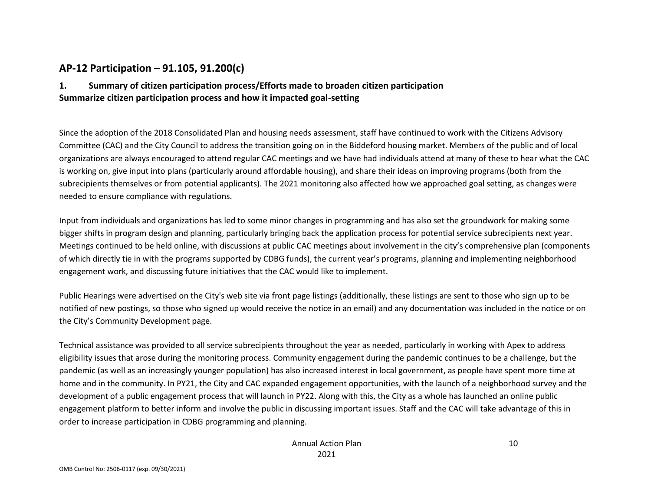## **AP-12 Participation – 91.105, 91.200(c)**

## **1. Summary of citizen participation process/Efforts made to broaden citizen participation Summarize citizen participation process and how it impacted goal-setting**

Since the adoption of the 2018 Consolidated Plan and housing needs assessment, staff have continued to work with the Citizens Advisory Committee (CAC) and the City Council to address the transition going on in the Biddeford housing market. Members of the public and of local organizations are always encouraged to attend regular CAC meetings and we have had individuals attend at many of these to hear what the CAC is working on, give input into plans (particularly around affordable housing), and share their ideas on improving programs (both from the subrecipients themselves or from potential applicants). The 2021 monitoring also affected how we approached goal setting, as changes were needed to ensure compliance with regulations.

Input from individuals and organizations has led to some minor changes in programming and has also set the groundwork for making some bigger shifts in program design and planning, particularly bringing back the application process for potential service subrecipients next year. Meetings continued to be held online, with discussions at public CAC meetings about involvement in the city's comprehensive plan (components of which directly tie in with the programs supported by CDBG funds), the current year's programs, planning and implementing neighborhood engagement work, and discussing future initiatives that the CAC would like to implement.

Public Hearings were advertised on the City's web site via front page listings (additionally, these listings are sent to those who sign up to be notified of new postings, so those who signed up would receive the notice in an email) and any documentation was included in the notice or on the City's Community Development page.

Technical assistance was provided to all service subrecipients throughout the year as needed, particularly in working with Apex to address eligibility issues that arose during the monitoring process. Community engagement during the pandemic continues to be a challenge, but the pandemic (as well as an increasingly younger population) has also increased interest in local government, as people have spent more time at home and in the community. In PY21, the City and CAC expanded engagement opportunities, with the launch of a neighborhood survey and the development of a public engagement process that will launch in PY22. Along with this, the City as a whole has launched an online public engagement platform to better inform and involve the public in discussing important issues. Staff and the CAC will take advantage of this in order to increase participation in CDBG programming and planning.

10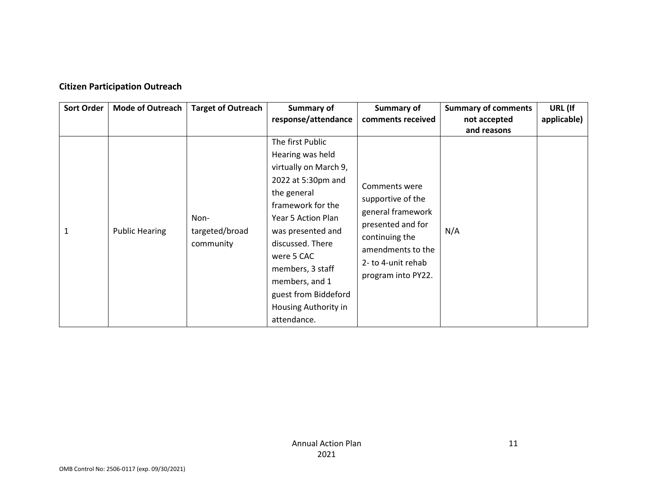#### **Citizen Participation Outreach**

| Sort Order | <b>Mode of Outreach</b> | <b>Target of Outreach</b>           | Summary of<br>response/attendance                                                                                                                                                                                                                                                                         | Summary of<br>comments received                                                                                                                                 | <b>Summary of comments</b><br>not accepted<br>and reasons | URL (If<br>applicable) |
|------------|-------------------------|-------------------------------------|-----------------------------------------------------------------------------------------------------------------------------------------------------------------------------------------------------------------------------------------------------------------------------------------------------------|-----------------------------------------------------------------------------------------------------------------------------------------------------------------|-----------------------------------------------------------|------------------------|
| 1          | <b>Public Hearing</b>   | Non-<br>targeted/broad<br>community | The first Public<br>Hearing was held<br>virtually on March 9,<br>2022 at 5:30pm and<br>the general<br>framework for the<br>Year 5 Action Plan<br>was presented and<br>discussed. There<br>were 5 CAC<br>members, 3 staff<br>members, and 1<br>guest from Biddeford<br>Housing Authority in<br>attendance. | Comments were<br>supportive of the<br>general framework<br>presented and for<br>continuing the<br>amendments to the<br>2- to 4-unit rehab<br>program into PY22. | N/A                                                       |                        |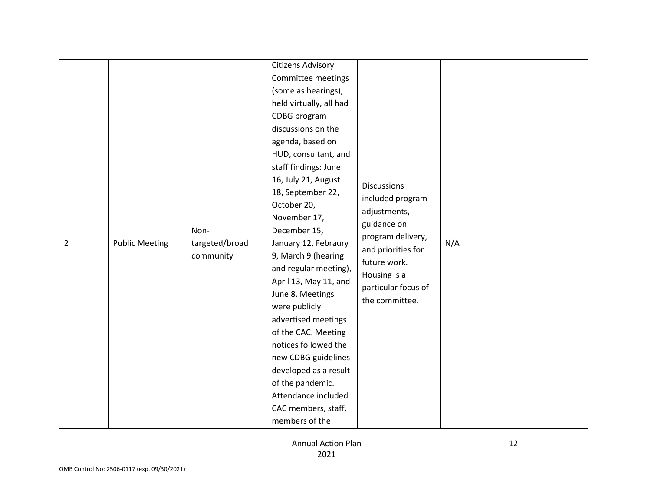| $\overline{2}$ | <b>Public Meeting</b> | Non-<br>targeted/broad<br>community | <b>Citizens Advisory</b><br>Committee meetings<br>(some as hearings),<br>held virtually, all had<br>CDBG program<br>discussions on the<br>agenda, based on<br>HUD, consultant, and<br>staff findings: June<br>16, July 21, August<br>18, September 22,<br>October 20,<br>November 17,<br>December 15,<br>January 12, Febraury<br>9, March 9 (hearing<br>and regular meeting),<br>April 13, May 11, and<br>June 8. Meetings<br>were publicly<br>advertised meetings<br>of the CAC. Meeting<br>notices followed the<br>new CDBG guidelines<br>developed as a result<br>of the pandemic.<br>Attendance included<br>CAC members, staff,<br>members of the | <b>Discussions</b><br>included program<br>adjustments,<br>guidance on<br>program delivery,<br>and priorities for<br>future work.<br>Housing is a<br>particular focus of<br>the committee. | N/A |  |
|----------------|-----------------------|-------------------------------------|-------------------------------------------------------------------------------------------------------------------------------------------------------------------------------------------------------------------------------------------------------------------------------------------------------------------------------------------------------------------------------------------------------------------------------------------------------------------------------------------------------------------------------------------------------------------------------------------------------------------------------------------------------|-------------------------------------------------------------------------------------------------------------------------------------------------------------------------------------------|-----|--|
|----------------|-----------------------|-------------------------------------|-------------------------------------------------------------------------------------------------------------------------------------------------------------------------------------------------------------------------------------------------------------------------------------------------------------------------------------------------------------------------------------------------------------------------------------------------------------------------------------------------------------------------------------------------------------------------------------------------------------------------------------------------------|-------------------------------------------------------------------------------------------------------------------------------------------------------------------------------------------|-----|--|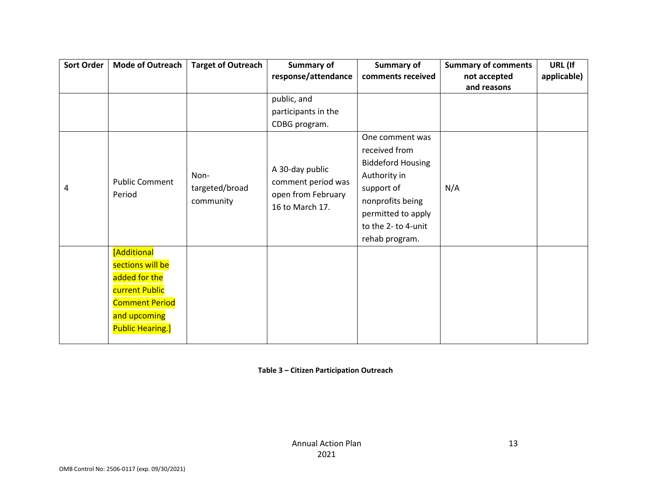| <b>Sort Order</b> | <b>Mode of Outreach</b>  | <b>Target of Outreach</b> | <b>Summary of</b>   | <b>Summary of</b><br>comments received | <b>Summary of comments</b>  | URL (If     |
|-------------------|--------------------------|---------------------------|---------------------|----------------------------------------|-----------------------------|-------------|
|                   |                          |                           | response/attendance |                                        | not accepted<br>and reasons | applicable) |
|                   |                          |                           | public, and         |                                        |                             |             |
|                   |                          |                           | participants in the |                                        |                             |             |
|                   |                          |                           | CDBG program.       |                                        |                             |             |
|                   |                          |                           |                     | One comment was                        |                             |             |
|                   |                          |                           |                     | received from                          |                             |             |
|                   |                          |                           | A 30-day public     | <b>Biddeford Housing</b>               |                             |             |
|                   | <b>Public Comment</b>    | Non-                      | comment period was  | Authority in                           |                             |             |
| 4                 | targeted/broad<br>Period |                           | open from February  | support of                             | N/A                         |             |
|                   |                          | community                 | 16 to March 17.     | nonprofits being                       |                             |             |
|                   |                          |                           |                     | permitted to apply                     |                             |             |
|                   |                          |                           |                     | to the 2- to 4-unit                    |                             |             |
|                   |                          |                           |                     | rehab program.                         |                             |             |
|                   | [Additional              |                           |                     |                                        |                             |             |
|                   | sections will be         |                           |                     |                                        |                             |             |
|                   | added for the            |                           |                     |                                        |                             |             |
|                   | current Public           |                           |                     |                                        |                             |             |
|                   | <b>Comment Period</b>    |                           |                     |                                        |                             |             |
|                   | and upcoming             |                           |                     |                                        |                             |             |
|                   | <b>Public Hearing.]</b>  |                           |                     |                                        |                             |             |
|                   |                          |                           |                     |                                        |                             |             |

**Table 3 – Citizen Participation Outreach**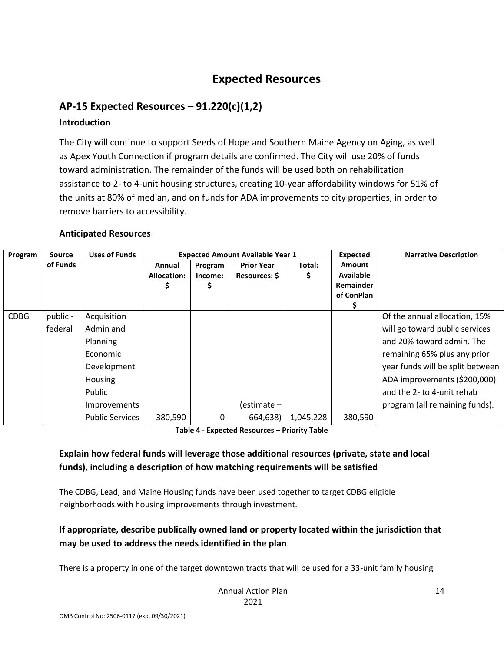# **Expected Resources**

## **AP-15 Expected Resources – 91.220(c)(1,2)**

#### **Introduction**

The City will continue to support Seeds of Hope and Southern Maine Agency on Aging, as well as Apex Youth Connection if program details are confirmed. The City will use 20% of funds toward administration. The remainder of the funds will be used both on rehabilitation assistance to 2- to 4-unit housing structures, creating 10-year affordability windows for 51% of the units at 80% of median, and on funds for ADA improvements to city properties, in order to remove barriers to accessibility.

#### **Anticipated Resources**

| Program     | Source   | <b>Uses of Funds</b>   | <b>Expected Amount Available Year 1</b> |         |                      |           | Expected         | <b>Narrative Description</b>     |
|-------------|----------|------------------------|-----------------------------------------|---------|----------------------|-----------|------------------|----------------------------------|
|             | of Funds |                        | Annual                                  | Program | <b>Prior Year</b>    | Total:    | <b>Amount</b>    |                                  |
|             |          |                        | <b>Allocation:</b>                      | Income: | <b>Resources: \$</b> |           | <b>Available</b> |                                  |
|             |          |                        |                                         |         |                      |           | <b>Remainder</b> |                                  |
|             |          |                        |                                         |         |                      |           | of ConPlan       |                                  |
|             |          |                        |                                         |         |                      |           |                  |                                  |
| <b>CDBG</b> | public - | Acquisition            |                                         |         |                      |           |                  | Of the annual allocation, 15%    |
|             | federal  | Admin and              |                                         |         |                      |           |                  | will go toward public services   |
|             |          | Planning               |                                         |         |                      |           |                  | and 20% toward admin. The        |
|             |          | Economic               |                                         |         |                      |           |                  | remaining 65% plus any prior     |
|             |          | Development            |                                         |         |                      |           |                  | year funds will be split between |
|             |          | <b>Housing</b>         |                                         |         |                      |           |                  | ADA improvements (\$200,000)     |
|             |          | Public                 |                                         |         |                      |           |                  | and the 2- to 4-unit rehab       |
|             |          | Improvements           |                                         |         | (estimate –          |           |                  | program (all remaining funds).   |
|             |          | <b>Public Services</b> | 380,590                                 | 0       | 664,638)             | 1,045,228 | 380,590          |                                  |

**Table 4 - Expected Resources – Priority Table**

## **Explain how federal funds will leverage those additional resources (private, state and local funds), including a description of how matching requirements will be satisfied**

The CDBG, Lead, and Maine Housing funds have been used together to target CDBG eligible neighborhoods with housing improvements through investment.

## **If appropriate, describe publically owned land or property located within the jurisdiction that may be used to address the needs identified in the plan**

There is a property in one of the target downtown tracts that will be used for a 33-unit family housing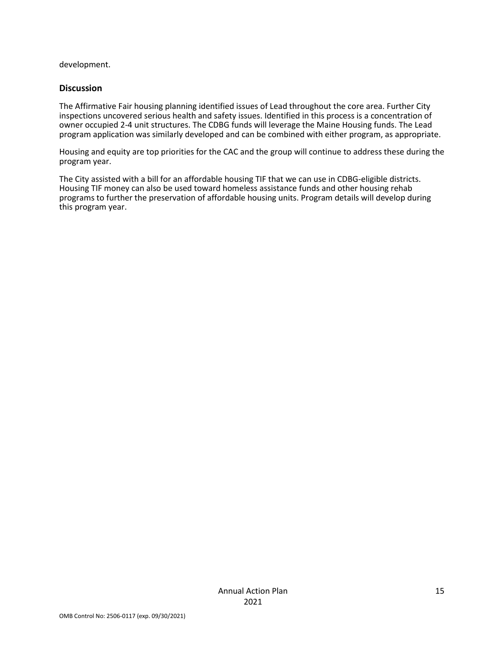development.

#### **Discussion**

The Affirmative Fair housing planning identified issues of Lead throughout the core area. Further City inspections uncovered serious health and safety issues. Identified in this process is a concentration of owner occupied 2-4 unit structures. The CDBG funds will leverage the Maine Housing funds. The Lead program application was similarly developed and can be combined with either program, as appropriate.

Housing and equity are top priorities for the CAC and the group will continue to address these during the program year.

The City assisted with a bill for an affordable housing TIF that we can use in CDBG-eligible districts. Housing TIF money can also be used toward homeless assistance funds and other housing rehab programs to further the preservation of affordable housing units. Program details will develop during this program year.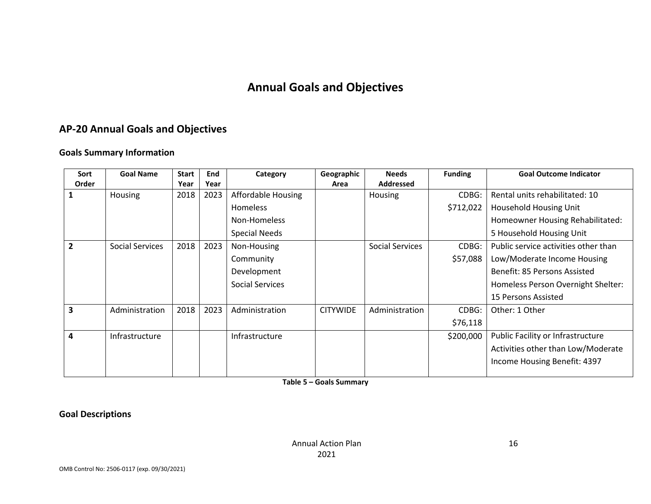# **Annual Goals and Objectives**

# **AP-20 Annual Goals and Objectives**

#### **Goals Summary Information**

| Sort  | <b>Goal Name</b>       | <b>Start</b> | End  | Category               | Geographic      | <b>Needs</b>     | <b>Funding</b> | <b>Goal Outcome Indicator</b>        |
|-------|------------------------|--------------|------|------------------------|-----------------|------------------|----------------|--------------------------------------|
| Order |                        | Year         | Year |                        | Area            | <b>Addressed</b> |                |                                      |
|       | Housing                | 2018         | 2023 | Affordable Housing     |                 | Housing          | CDBG:          | Rental units rehabilitated: 10       |
|       |                        |              |      | Homeless               |                 |                  | \$712,022      | <b>Household Housing Unit</b>        |
|       |                        |              |      | Non-Homeless           |                 |                  |                | Homeowner Housing Rehabilitated:     |
|       |                        |              |      | <b>Special Needs</b>   |                 |                  |                | 5 Household Housing Unit             |
|       | <b>Social Services</b> | 2018         | 2023 | Non-Housing            |                 | Social Services  | CDBG:          | Public service activities other than |
|       |                        |              |      | Community              |                 |                  | \$57,088       | Low/Moderate Income Housing          |
|       |                        |              |      | Development            |                 |                  |                | Benefit: 85 Persons Assisted         |
|       |                        |              |      | <b>Social Services</b> |                 |                  |                | Homeless Person Overnight Shelter:   |
|       |                        |              |      |                        |                 |                  |                | 15 Persons Assisted                  |
| 3     | Administration         | 2018         | 2023 | Administration         | <b>CITYWIDE</b> | Administration   | CDBG:          | Other: 1 Other                       |
|       |                        |              |      |                        |                 |                  | \$76,118       |                                      |
| 4     | Infrastructure         |              |      | Infrastructure         |                 |                  | \$200,000      | Public Facility or Infrastructure    |
|       |                        |              |      |                        |                 |                  |                | Activities other than Low/Moderate   |
|       |                        |              |      |                        |                 |                  |                | Income Housing Benefit: 4397         |
|       |                        |              |      |                        |                 |                  |                |                                      |

**Table 5 – Goals Summary**

**Goal Descriptions**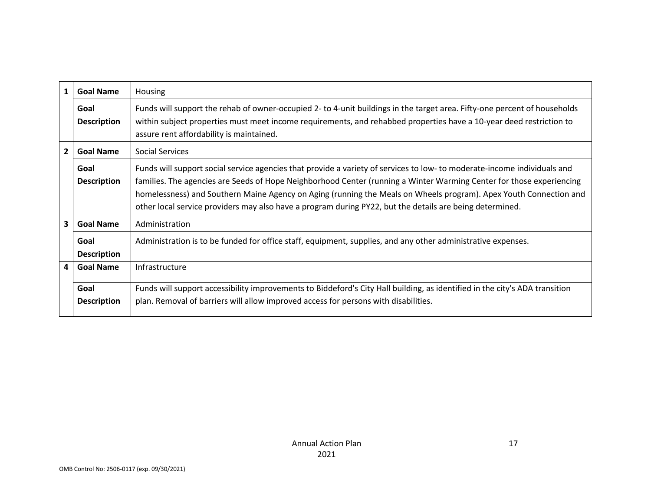| 1                       | <b>Goal Name</b>                    | Housing                                                                                                                                                                                                                                                                                                                                                                                                                                                                           |  |  |
|-------------------------|-------------------------------------|-----------------------------------------------------------------------------------------------------------------------------------------------------------------------------------------------------------------------------------------------------------------------------------------------------------------------------------------------------------------------------------------------------------------------------------------------------------------------------------|--|--|
|                         | Goal<br><b>Description</b>          | Funds will support the rehab of owner-occupied 2- to 4-unit buildings in the target area. Fifty-one percent of households<br>within subject properties must meet income requirements, and rehabbed properties have a 10-year deed restriction to<br>assure rent affordability is maintained.                                                                                                                                                                                      |  |  |
| $\overline{2}$          | <b>Goal Name</b><br>Social Services |                                                                                                                                                                                                                                                                                                                                                                                                                                                                                   |  |  |
|                         | Goal<br><b>Description</b>          | Funds will support social service agencies that provide a variety of services to low- to moderate-income individuals and<br>families. The agencies are Seeds of Hope Neighborhood Center (running a Winter Warming Center for those experiencing<br>homelessness) and Southern Maine Agency on Aging (running the Meals on Wheels program). Apex Youth Connection and<br>other local service providers may also have a program during PY22, but the details are being determined. |  |  |
| 3.                      | <b>Goal Name</b>                    | Administration                                                                                                                                                                                                                                                                                                                                                                                                                                                                    |  |  |
|                         | Goal<br><b>Description</b>          | Administration is to be funded for office staff, equipment, supplies, and any other administrative expenses.                                                                                                                                                                                                                                                                                                                                                                      |  |  |
| $\overline{\mathbf{4}}$ | <b>Goal Name</b>                    | Infrastructure                                                                                                                                                                                                                                                                                                                                                                                                                                                                    |  |  |
|                         | Goal                                | Funds will support accessibility improvements to Biddeford's City Hall building, as identified in the city's ADA transition                                                                                                                                                                                                                                                                                                                                                       |  |  |
|                         | <b>Description</b>                  | plan. Removal of barriers will allow improved access for persons with disabilities.                                                                                                                                                                                                                                                                                                                                                                                               |  |  |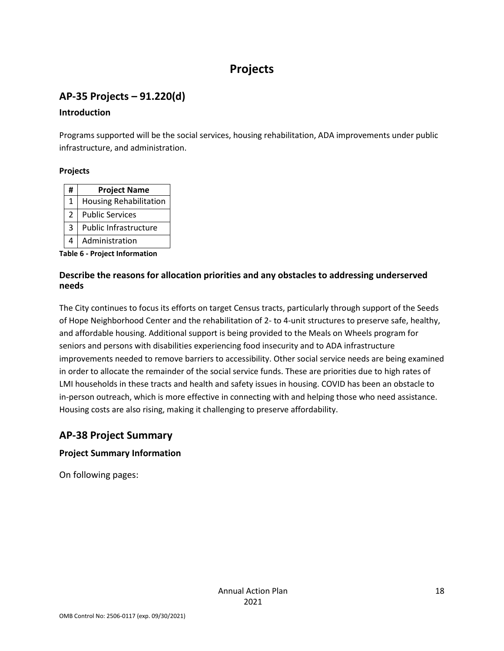# **Projects**

# **AP-35 Projects – 91.220(d)**

## **Introduction**

Programs supported will be the social services, housing rehabilitation, ADA improvements under public infrastructure, and administration.

## **Projects**

| # | <b>Project Name</b>           |
|---|-------------------------------|
| 1 | <b>Housing Rehabilitation</b> |
| 2 | <b>Public Services</b>        |
| 3 | Public Infrastructure         |
|   | Administration                |

**Table 6 - Project Information**

## **Describe the reasons for allocation priorities and any obstacles to addressing underserved needs**

The City continues to focus its efforts on target Census tracts, particularly through support of the Seeds of Hope Neighborhood Center and the rehabilitation of 2- to 4-unit structures to preserve safe, healthy, and affordable housing. Additional support is being provided to the Meals on Wheels program for seniors and persons with disabilities experiencing food insecurity and to ADA infrastructure improvements needed to remove barriers to accessibility. Other social service needs are being examined in order to allocate the remainder of the social service funds. These are priorities due to high rates of LMI households in these tracts and health and safety issues in housing. COVID has been an obstacle to in-person outreach, which is more effective in connecting with and helping those who need assistance. Housing costs are also rising, making it challenging to preserve affordability.

# **AP-38 Project Summary**

## **Project Summary Information**

On following pages: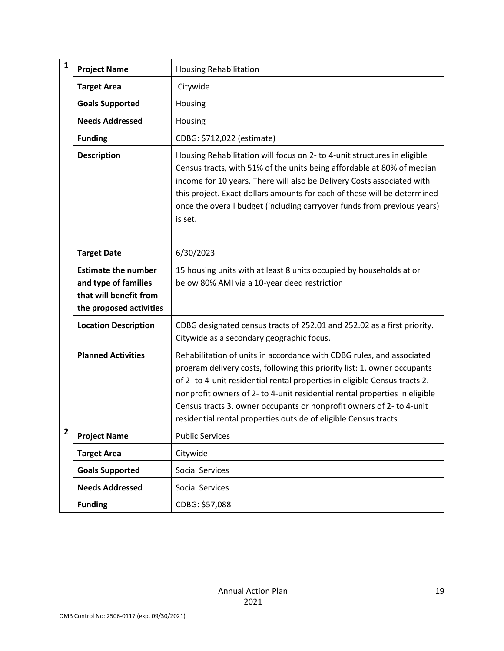| $\mathbf{1}$ | <b>Project Name</b>                                                                                     | <b>Housing Rehabilitation</b>                                                                                                                                                                                                                                                                                                                                                                                                                            |
|--------------|---------------------------------------------------------------------------------------------------------|----------------------------------------------------------------------------------------------------------------------------------------------------------------------------------------------------------------------------------------------------------------------------------------------------------------------------------------------------------------------------------------------------------------------------------------------------------|
|              | <b>Target Area</b>                                                                                      | Citywide                                                                                                                                                                                                                                                                                                                                                                                                                                                 |
|              | <b>Goals Supported</b>                                                                                  | Housing                                                                                                                                                                                                                                                                                                                                                                                                                                                  |
|              | <b>Needs Addressed</b>                                                                                  | Housing                                                                                                                                                                                                                                                                                                                                                                                                                                                  |
|              | <b>Funding</b>                                                                                          | CDBG: \$712,022 (estimate)                                                                                                                                                                                                                                                                                                                                                                                                                               |
|              | <b>Description</b>                                                                                      | Housing Rehabilitation will focus on 2- to 4-unit structures in eligible<br>Census tracts, with 51% of the units being affordable at 80% of median<br>income for 10 years. There will also be Delivery Costs associated with<br>this project. Exact dollars amounts for each of these will be determined<br>once the overall budget (including carryover funds from previous years)<br>is set.                                                           |
|              | <b>Target Date</b>                                                                                      | 6/30/2023                                                                                                                                                                                                                                                                                                                                                                                                                                                |
|              | <b>Estimate the number</b><br>and type of families<br>that will benefit from<br>the proposed activities | 15 housing units with at least 8 units occupied by households at or<br>below 80% AMI via a 10-year deed restriction                                                                                                                                                                                                                                                                                                                                      |
|              | <b>Location Description</b>                                                                             | CDBG designated census tracts of 252.01 and 252.02 as a first priority.<br>Citywide as a secondary geographic focus.                                                                                                                                                                                                                                                                                                                                     |
|              | <b>Planned Activities</b>                                                                               | Rehabilitation of units in accordance with CDBG rules, and associated<br>program delivery costs, following this priority list: 1. owner occupants<br>of 2- to 4-unit residential rental properties in eligible Census tracts 2.<br>nonprofit owners of 2- to 4-unit residential rental properties in eligible<br>Census tracts 3. owner occupants or nonprofit owners of 2- to 4-unit<br>residential rental properties outside of eligible Census tracts |
| $\mathbf{2}$ | <b>Project Name</b>                                                                                     | <b>Public Services</b>                                                                                                                                                                                                                                                                                                                                                                                                                                   |
|              | <b>Target Area</b>                                                                                      | Citywide                                                                                                                                                                                                                                                                                                                                                                                                                                                 |
|              | <b>Goals Supported</b>                                                                                  | <b>Social Services</b>                                                                                                                                                                                                                                                                                                                                                                                                                                   |
|              | <b>Needs Addressed</b>                                                                                  | <b>Social Services</b>                                                                                                                                                                                                                                                                                                                                                                                                                                   |
|              | <b>Funding</b>                                                                                          | CDBG: \$57,088                                                                                                                                                                                                                                                                                                                                                                                                                                           |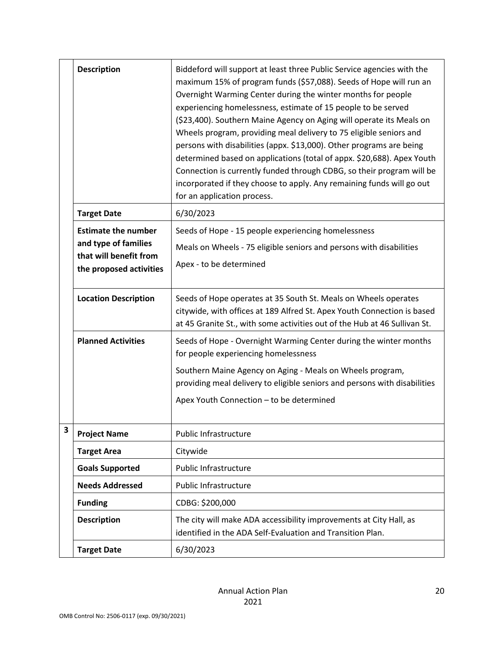|   | <b>Description</b>                             | Biddeford will support at least three Public Service agencies with the<br>maximum 15% of program funds (\$57,088). Seeds of Hope will run an<br>Overnight Warming Center during the winter months for people<br>experiencing homelessness, estimate of 15 people to be served<br>(\$23,400). Southern Maine Agency on Aging will operate its Meals on<br>Wheels program, providing meal delivery to 75 eligible seniors and<br>persons with disabilities (appx. \$13,000). Other programs are being<br>determined based on applications (total of appx. \$20,688). Apex Youth<br>Connection is currently funded through CDBG, so their program will be<br>incorporated if they choose to apply. Any remaining funds will go out<br>for an application process. |
|---|------------------------------------------------|----------------------------------------------------------------------------------------------------------------------------------------------------------------------------------------------------------------------------------------------------------------------------------------------------------------------------------------------------------------------------------------------------------------------------------------------------------------------------------------------------------------------------------------------------------------------------------------------------------------------------------------------------------------------------------------------------------------------------------------------------------------|
|   | <b>Target Date</b>                             | 6/30/2023                                                                                                                                                                                                                                                                                                                                                                                                                                                                                                                                                                                                                                                                                                                                                      |
|   | <b>Estimate the number</b>                     | Seeds of Hope - 15 people experiencing homelessness                                                                                                                                                                                                                                                                                                                                                                                                                                                                                                                                                                                                                                                                                                            |
|   | and type of families<br>that will benefit from | Meals on Wheels - 75 eligible seniors and persons with disabilities                                                                                                                                                                                                                                                                                                                                                                                                                                                                                                                                                                                                                                                                                            |
|   | the proposed activities                        | Apex - to be determined                                                                                                                                                                                                                                                                                                                                                                                                                                                                                                                                                                                                                                                                                                                                        |
|   | <b>Location Description</b>                    | Seeds of Hope operates at 35 South St. Meals on Wheels operates<br>citywide, with offices at 189 Alfred St. Apex Youth Connection is based<br>at 45 Granite St., with some activities out of the Hub at 46 Sullivan St.                                                                                                                                                                                                                                                                                                                                                                                                                                                                                                                                        |
|   | <b>Planned Activities</b>                      | Seeds of Hope - Overnight Warming Center during the winter months<br>for people experiencing homelessness                                                                                                                                                                                                                                                                                                                                                                                                                                                                                                                                                                                                                                                      |
|   |                                                | Southern Maine Agency on Aging - Meals on Wheels program,<br>providing meal delivery to eligible seniors and persons with disabilities                                                                                                                                                                                                                                                                                                                                                                                                                                                                                                                                                                                                                         |
|   |                                                | Apex Youth Connection - to be determined                                                                                                                                                                                                                                                                                                                                                                                                                                                                                                                                                                                                                                                                                                                       |
| 3 | <b>Project Name</b>                            | Public Infrastructure                                                                                                                                                                                                                                                                                                                                                                                                                                                                                                                                                                                                                                                                                                                                          |
|   | <b>Target Area</b>                             | Citywide                                                                                                                                                                                                                                                                                                                                                                                                                                                                                                                                                                                                                                                                                                                                                       |
|   | <b>Goals Supported</b>                         | Public Infrastructure                                                                                                                                                                                                                                                                                                                                                                                                                                                                                                                                                                                                                                                                                                                                          |
|   | <b>Needs Addressed</b>                         | <b>Public Infrastructure</b>                                                                                                                                                                                                                                                                                                                                                                                                                                                                                                                                                                                                                                                                                                                                   |
|   | <b>Funding</b>                                 | CDBG: \$200,000                                                                                                                                                                                                                                                                                                                                                                                                                                                                                                                                                                                                                                                                                                                                                |
|   | <b>Description</b>                             | The city will make ADA accessibility improvements at City Hall, as<br>identified in the ADA Self-Evaluation and Transition Plan.                                                                                                                                                                                                                                                                                                                                                                                                                                                                                                                                                                                                                               |
|   | <b>Target Date</b>                             | 6/30/2023                                                                                                                                                                                                                                                                                                                                                                                                                                                                                                                                                                                                                                                                                                                                                      |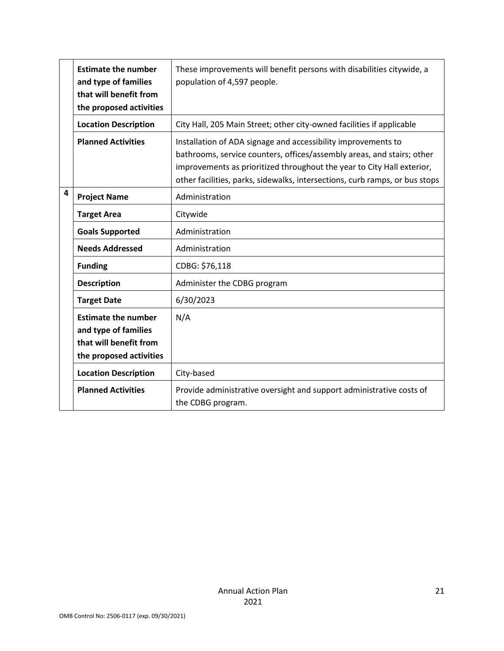|   | <b>Estimate the number</b><br>and type of families<br>that will benefit from<br>the proposed activities | These improvements will benefit persons with disabilities citywide, a<br>population of 4,597 people.                                                                                                                                                                                             |
|---|---------------------------------------------------------------------------------------------------------|--------------------------------------------------------------------------------------------------------------------------------------------------------------------------------------------------------------------------------------------------------------------------------------------------|
|   | <b>Location Description</b>                                                                             | City Hall, 205 Main Street; other city-owned facilities if applicable                                                                                                                                                                                                                            |
|   | <b>Planned Activities</b>                                                                               | Installation of ADA signage and accessibility improvements to<br>bathrooms, service counters, offices/assembly areas, and stairs; other<br>improvements as prioritized throughout the year to City Hall exterior,<br>other facilities, parks, sidewalks, intersections, curb ramps, or bus stops |
| 4 | <b>Project Name</b>                                                                                     | Administration                                                                                                                                                                                                                                                                                   |
|   | <b>Target Area</b>                                                                                      | Citywide                                                                                                                                                                                                                                                                                         |
|   | <b>Goals Supported</b>                                                                                  | Administration                                                                                                                                                                                                                                                                                   |
|   | <b>Needs Addressed</b>                                                                                  | Administration                                                                                                                                                                                                                                                                                   |
|   | <b>Funding</b>                                                                                          | CDBG: \$76,118                                                                                                                                                                                                                                                                                   |
|   | <b>Description</b>                                                                                      | Administer the CDBG program                                                                                                                                                                                                                                                                      |
|   | <b>Target Date</b>                                                                                      | 6/30/2023                                                                                                                                                                                                                                                                                        |
|   | <b>Estimate the number</b><br>and type of families<br>that will benefit from<br>the proposed activities | N/A                                                                                                                                                                                                                                                                                              |
|   | <b>Location Description</b>                                                                             | City-based                                                                                                                                                                                                                                                                                       |
|   | <b>Planned Activities</b>                                                                               | Provide administrative oversight and support administrative costs of<br>the CDBG program.                                                                                                                                                                                                        |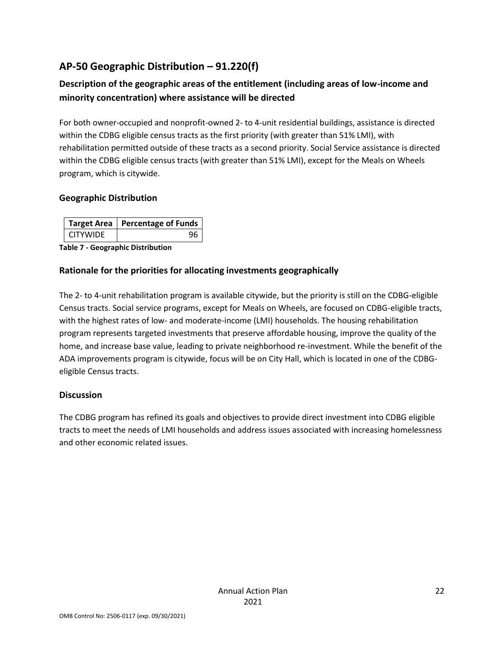# **AP-50 Geographic Distribution – 91.220(f)**

## **Description of the geographic areas of the entitlement (including areas of low-income and minority concentration) where assistance will be directed**

For both owner-occupied and nonprofit-owned 2- to 4-unit residential buildings, assistance is directed within the CDBG eligible census tracts as the first priority (with greater than 51% LMI), with rehabilitation permitted outside of these tracts as a second priority. Social Service assistance is directed within the CDBG eligible census tracts (with greater than 51% LMI), except for the Meals on Wheels program, which is citywide.

## **Geographic Distribution**

|          | Target Area   Percentage of Funds |
|----------|-----------------------------------|
| CITYWIDE |                                   |

**Table 7 - Geographic Distribution** 

## **Rationale for the priorities for allocating investments geographically**

The 2- to 4-unit rehabilitation program is available citywide, but the priority is still on the CDBG-eligible Census tracts. Social service programs, except for Meals on Wheels, are focused on CDBG-eligible tracts, with the highest rates of low- and moderate-income (LMI) households. The housing rehabilitation program represents targeted investments that preserve affordable housing, improve the quality of the home, and increase base value, leading to private neighborhood re-investment. While the benefit of the ADA improvements program is citywide, focus will be on City Hall, which is located in one of the CDBGeligible Census tracts.

## **Discussion**

The CDBG program has refined its goals and objectives to provide direct investment into CDBG eligible tracts to meet the needs of LMI households and address issues associated with increasing homelessness and other economic related issues.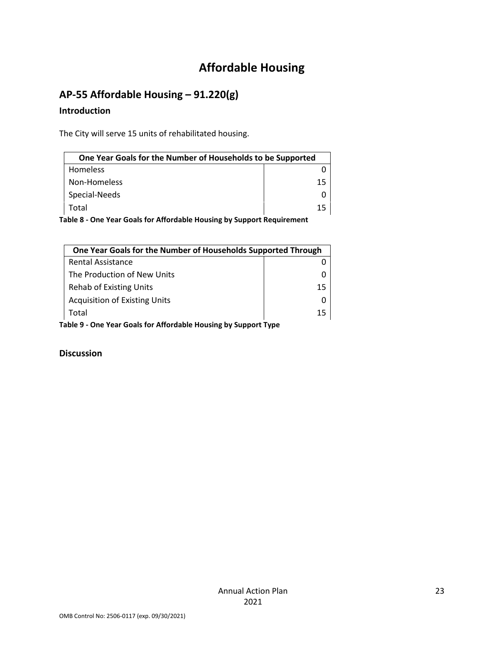# **Affordable Housing**

# **AP-55 Affordable Housing – 91.220(g)**

#### **Introduction**

The City will serve 15 units of rehabilitated housing.

| One Year Goals for the Number of Households to be Supported                |    |  |
|----------------------------------------------------------------------------|----|--|
| <b>Homeless</b>                                                            |    |  |
| Non-Homeless                                                               | 15 |  |
| Special-Needs                                                              |    |  |
| Total                                                                      | 15 |  |
| 'akia 0 - Ona Vaan Caala fan Affandakia Harreina kriftrinaant Damilianaant |    |  |

**Table 8 - One Year Goals for Affordable Housing by Support Requirement**

|                                                                 | One Year Goals for the Number of Households Supported Through |    |
|-----------------------------------------------------------------|---------------------------------------------------------------|----|
|                                                                 | <b>Rental Assistance</b>                                      |    |
|                                                                 | The Production of New Units                                   |    |
|                                                                 | <b>Rehab of Existing Units</b>                                | 15 |
|                                                                 | <b>Acquisition of Existing Units</b>                          |    |
|                                                                 | Total                                                         | 15 |
| Table 9 - One Year Goals for Affordable Housing by Support Type |                                                               |    |

**Discussion**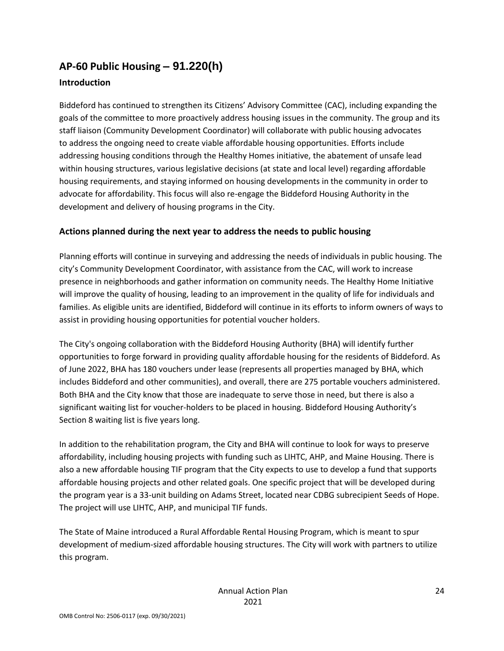# **AP-60 Public Housing** *–* **91.220(h)**

## **Introduction**

Biddeford has continued to strengthen its Citizens' Advisory Committee (CAC), including expanding the goals of the committee to more proactively address housing issues in the community. The group and its staff liaison (Community Development Coordinator) will collaborate with public housing advocates to address the ongoing need to create viable affordable housing opportunities. Efforts include addressing housing conditions through the Healthy Homes initiative, the abatement of unsafe lead within housing structures, various legislative decisions (at state and local level) regarding affordable housing requirements, and staying informed on housing developments in the community in order to advocate for affordability. This focus will also re-engage the Biddeford Housing Authority in the development and delivery of housing programs in the City.

## **Actions planned during the next year to address the needs to public housing**

Planning efforts will continue in surveying and addressing the needs of individuals in public housing. The city's Community Development Coordinator, with assistance from the CAC, will work to increase presence in neighborhoods and gather information on community needs. The Healthy Home Initiative will improve the quality of housing, leading to an improvement in the quality of life for individuals and families. As eligible units are identified, Biddeford will continue in its efforts to inform owners of ways to assist in providing housing opportunities for potential voucher holders.

The City's ongoing collaboration with the Biddeford Housing Authority (BHA) will identify further opportunities to forge forward in providing quality affordable housing for the residents of Biddeford. As of June 2022, BHA has 180 vouchers under lease (represents all properties managed by BHA, which includes Biddeford and other communities), and overall, there are 275 portable vouchers administered. Both BHA and the City know that those are inadequate to serve those in need, but there is also a significant waiting list for voucher-holders to be placed in housing. Biddeford Housing Authority's Section 8 waiting list is five years long.

In addition to the rehabilitation program, the City and BHA will continue to look for ways to preserve affordability, including housing projects with funding such as LIHTC, AHP, and Maine Housing. There is also a new affordable housing TIF program that the City expects to use to develop a fund that supports affordable housing projects and other related goals. One specific project that will be developed during the program year is a 33-unit building on Adams Street, located near CDBG subrecipient Seeds of Hope. The project will use LIHTC, AHP, and municipal TIF funds.

The State of Maine introduced a Rural Affordable Rental Housing Program, which is meant to spur development of medium-sized affordable housing structures. The City will work with partners to utilize this program.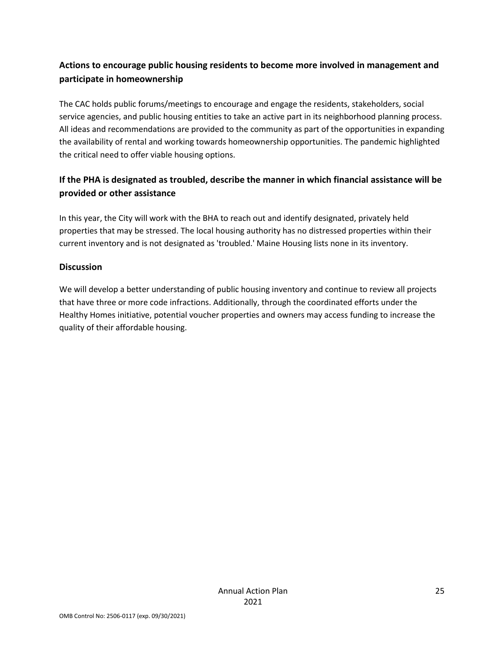## **Actions to encourage public housing residents to become more involved in management and participate in homeownership**

The CAC holds public forums/meetings to encourage and engage the residents, stakeholders, social service agencies, and public housing entities to take an active part in its neighborhood planning process. All ideas and recommendations are provided to the community as part of the opportunities in expanding the availability of rental and working towards homeownership opportunities. The pandemic highlighted the critical need to offer viable housing options.

## **If the PHA is designated as troubled, describe the manner in which financial assistance will be provided or other assistance**

In this year, the City will work with the BHA to reach out and identify designated, privately held properties that may be stressed. The local housing authority has no distressed properties within their current inventory and is not designated as 'troubled.' Maine Housing lists none in its inventory.

## **Discussion**

We will develop a better understanding of public housing inventory and continue to review all projects that have three or more code infractions. Additionally, through the coordinated efforts under the Healthy Homes initiative, potential voucher properties and owners may access funding to increase the quality of their affordable housing.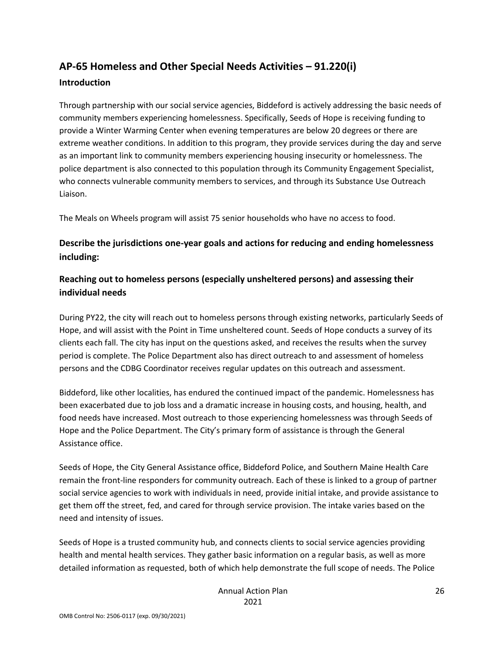# **AP-65 Homeless and Other Special Needs Activities – 91.220(i)**

#### **Introduction**

Through partnership with our social service agencies, Biddeford is actively addressing the basic needs of community members experiencing homelessness. Specifically, Seeds of Hope is receiving funding to provide a Winter Warming Center when evening temperatures are below 20 degrees or there are extreme weather conditions. In addition to this program, they provide services during the day and serve as an important link to community members experiencing housing insecurity or homelessness. The police department is also connected to this population through its Community Engagement Specialist, who connects vulnerable community members to services, and through its Substance Use Outreach Liaison.

The Meals on Wheels program will assist 75 senior households who have no access to food.

## **Describe the jurisdictions one-year goals and actions for reducing and ending homelessness including:**

## **Reaching out to homeless persons (especially unsheltered persons) and assessing their individual needs**

During PY22, the city will reach out to homeless persons through existing networks, particularly Seeds of Hope, and will assist with the Point in Time unsheltered count. Seeds of Hope conducts a survey of its clients each fall. The city has input on the questions asked, and receives the results when the survey period is complete. The Police Department also has direct outreach to and assessment of homeless persons and the CDBG Coordinator receives regular updates on this outreach and assessment.

Biddeford, like other localities, has endured the continued impact of the pandemic. Homelessness has been exacerbated due to job loss and a dramatic increase in housing costs, and housing, health, and food needs have increased. Most outreach to those experiencing homelessness was through Seeds of Hope and the Police Department. The City's primary form of assistance is through the General Assistance office.

Seeds of Hope, the City General Assistance office, Biddeford Police, and Southern Maine Health Care remain the front-line responders for community outreach. Each of these is linked to a group of partner social service agencies to work with individuals in need, provide initial intake, and provide assistance to get them off the street, fed, and cared for through service provision. The intake varies based on the need and intensity of issues.

Seeds of Hope is a trusted community hub, and connects clients to social service agencies providing health and mental health services. They gather basic information on a regular basis, as well as more detailed information as requested, both of which help demonstrate the full scope of needs. The Police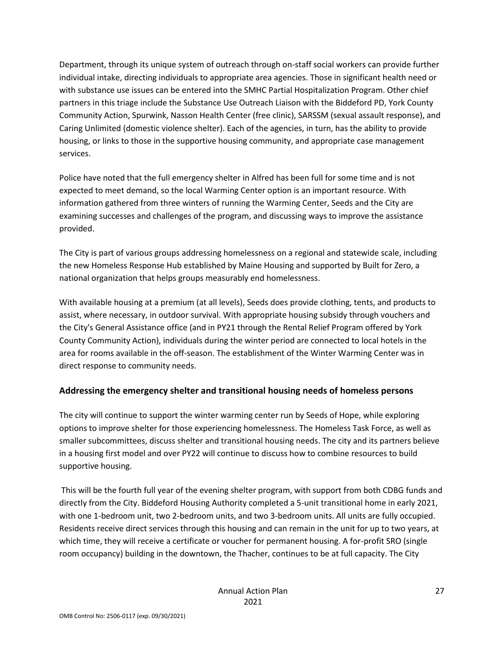Department, through its unique system of outreach through on-staff social workers can provide further individual intake, directing individuals to appropriate area agencies. Those in significant health need or with substance use issues can be entered into the SMHC Partial Hospitalization Program. Other chief partners in this triage include the Substance Use Outreach Liaison with the Biddeford PD, York County Community Action, Spurwink, Nasson Health Center (free clinic), SARSSM (sexual assault response), and Caring Unlimited (domestic violence shelter). Each of the agencies, in turn, has the ability to provide housing, or links to those in the supportive housing community, and appropriate case management services.

Police have noted that the full emergency shelter in Alfred has been full for some time and is not expected to meet demand, so the local Warming Center option is an important resource. With information gathered from three winters of running the Warming Center, Seeds and the City are examining successes and challenges of the program, and discussing ways to improve the assistance provided.

The City is part of various groups addressing homelessness on a regional and statewide scale, including the new Homeless Response Hub established by Maine Housing and supported by Built for Zero, a national organization that helps groups measurably end homelessness.

With available housing at a premium (at all levels), Seeds does provide clothing, tents, and products to assist, where necessary, in outdoor survival. With appropriate housing subsidy through vouchers and the City's General Assistance office (and in PY21 through the Rental Relief Program offered by York County Community Action), individuals during the winter period are connected to local hotels in the area for rooms available in the off-season. The establishment of the Winter Warming Center was in direct response to community needs.

## **Addressing the emergency shelter and transitional housing needs of homeless persons**

The city will continue to support the winter warming center run by Seeds of Hope, while exploring options to improve shelter for those experiencing homelessness. The Homeless Task Force, as well as smaller subcommittees, discuss shelter and transitional housing needs. The city and its partners believe in a housing first model and over PY22 will continue to discuss how to combine resources to build supportive housing.

This will be the fourth full year of the evening shelter program, with support from both CDBG funds and directly from the City. Biddeford Housing Authority completed a 5-unit transitional home in early 2021, with one 1-bedroom unit, two 2-bedroom units, and two 3-bedroom units. All units are fully occupied. Residents receive direct services through this housing and can remain in the unit for up to two years, at which time, they will receive a certificate or voucher for permanent housing. A for-profit SRO (single room occupancy) building in the downtown, the Thacher, continues to be at full capacity. The City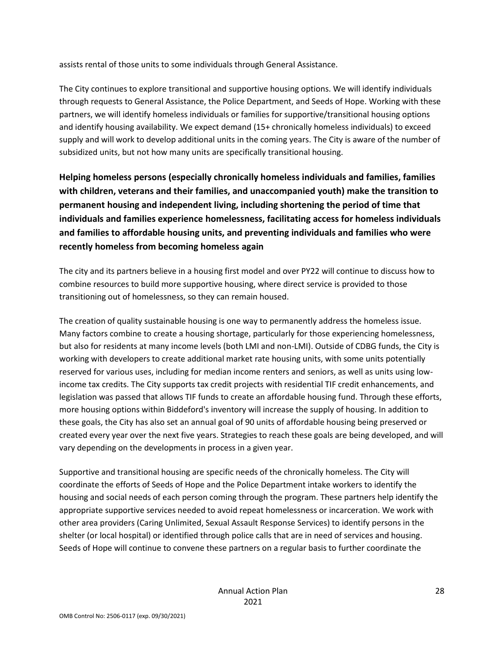assists rental of those units to some individuals through General Assistance.

The City continues to explore transitional and supportive housing options. We will identify individuals through requests to General Assistance, the Police Department, and Seeds of Hope. Working with these partners, we will identify homeless individuals or families for supportive/transitional housing options and identify housing availability. We expect demand (15+ chronically homeless individuals) to exceed supply and will work to develop additional units in the coming years. The City is aware of the number of subsidized units, but not how many units are specifically transitional housing.

**Helping homeless persons (especially chronically homeless individuals and families, families with children, veterans and their families, and unaccompanied youth) make the transition to permanent housing and independent living, including shortening the period of time that individuals and families experience homelessness, facilitating access for homeless individuals and families to affordable housing units, and preventing individuals and families who were recently homeless from becoming homeless again**

The city and its partners believe in a housing first model and over PY22 will continue to discuss how to combine resources to build more supportive housing, where direct service is provided to those transitioning out of homelessness, so they can remain housed.

The creation of quality sustainable housing is one way to permanently address the homeless issue. Many factors combine to create a housing shortage, particularly for those experiencing homelessness, but also for residents at many income levels (both LMI and non-LMI). Outside of CDBG funds, the City is working with developers to create additional market rate housing units, with some units potentially reserved for various uses, including for median income renters and seniors, as well as units using lowincome tax credits. The City supports tax credit projects with residential TIF credit enhancements, and legislation was passed that allows TIF funds to create an affordable housing fund. Through these efforts, more housing options within Biddeford's inventory will increase the supply of housing. In addition to these goals, the City has also set an annual goal of 90 units of affordable housing being preserved or created every year over the next five years. Strategies to reach these goals are being developed, and will vary depending on the developments in process in a given year.

Supportive and transitional housing are specific needs of the chronically homeless. The City will coordinate the efforts of Seeds of Hope and the Police Department intake workers to identify the housing and social needs of each person coming through the program. These partners help identify the appropriate supportive services needed to avoid repeat homelessness or incarceration. We work with other area providers (Caring Unlimited, Sexual Assault Response Services) to identify persons in the shelter (or local hospital) or identified through police calls that are in need of services and housing. Seeds of Hope will continue to convene these partners on a regular basis to further coordinate the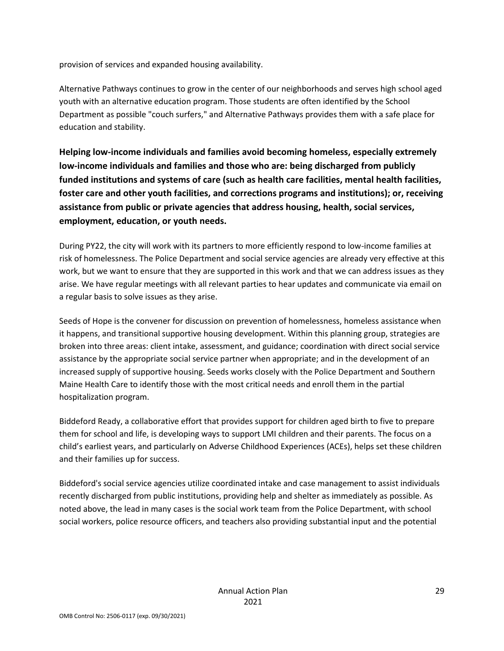provision of services and expanded housing availability.

Alternative Pathways continues to grow in the center of our neighborhoods and serves high school aged youth with an alternative education program. Those students are often identified by the School Department as possible "couch surfers," and Alternative Pathways provides them with a safe place for education and stability.

**Helping low-income individuals and families avoid becoming homeless, especially extremely low-income individuals and families and those who are: being discharged from publicly funded institutions and systems of care (such as health care facilities, mental health facilities, foster care and other youth facilities, and corrections programs and institutions); or, receiving assistance from public or private agencies that address housing, health, social services, employment, education, or youth needs.**

During PY22, the city will work with its partners to more efficiently respond to low-income families at risk of homelessness. The Police Department and social service agencies are already very effective at this work, but we want to ensure that they are supported in this work and that we can address issues as they arise. We have regular meetings with all relevant parties to hear updates and communicate via email on a regular basis to solve issues as they arise.

Seeds of Hope is the convener for discussion on prevention of homelessness, homeless assistance when it happens, and transitional supportive housing development. Within this planning group, strategies are broken into three areas: client intake, assessment, and guidance; coordination with direct social service assistance by the appropriate social service partner when appropriate; and in the development of an increased supply of supportive housing. Seeds works closely with the Police Department and Southern Maine Health Care to identify those with the most critical needs and enroll them in the partial hospitalization program.

Biddeford Ready, a collaborative effort that provides support for children aged birth to five to prepare them for school and life, is developing ways to support LMI children and their parents. The focus on a child's earliest years, and particularly on Adverse Childhood Experiences (ACEs), helps set these children and their families up for success.

Biddeford's social service agencies utilize coordinated intake and case management to assist individuals recently discharged from public institutions, providing help and shelter as immediately as possible. As noted above, the lead in many cases is the social work team from the Police Department, with school social workers, police resource officers, and teachers also providing substantial input and the potential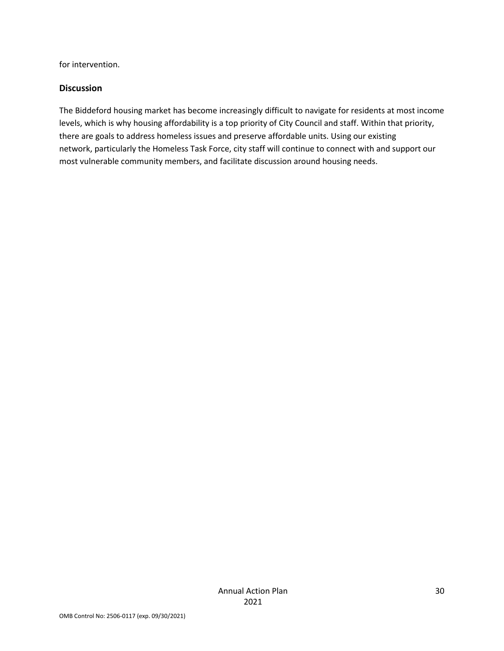for intervention.

#### **Discussion**

The Biddeford housing market has become increasingly difficult to navigate for residents at most income levels, which is why housing affordability is a top priority of City Council and staff. Within that priority, there are goals to address homeless issues and preserve affordable units. Using our existing network, particularly the Homeless Task Force, city staff will continue to connect with and support our most vulnerable community members, and facilitate discussion around housing needs.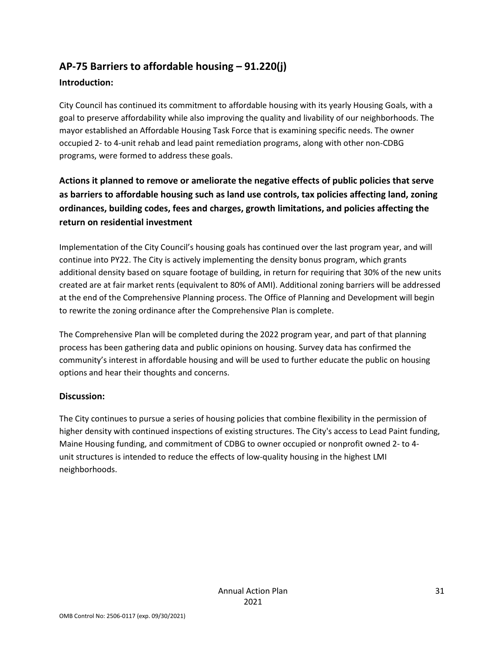# **AP-75 Barriers to affordable housing – 91.220(j)**

## **Introduction:**

City Council has continued its commitment to affordable housing with its yearly Housing Goals, with a goal to preserve affordability while also improving the quality and livability of our neighborhoods. The mayor established an Affordable Housing Task Force that is examining specific needs. The owner occupied 2- to 4-unit rehab and lead paint remediation programs, along with other non-CDBG programs, were formed to address these goals.

## **Actions it planned to remove or ameliorate the negative effects of public policies that serve as barriers to affordable housing such as land use controls, tax policies affecting land, zoning ordinances, building codes, fees and charges, growth limitations, and policies affecting the return on residential investment**

Implementation of the City Council's housing goals has continued over the last program year, and will continue into PY22. The City is actively implementing the density bonus program, which grants additional density based on square footage of building, in return for requiring that 30% of the new units created are at fair market rents (equivalent to 80% of AMI). Additional zoning barriers will be addressed at the end of the Comprehensive Planning process. The Office of Planning and Development will begin to rewrite the zoning ordinance after the Comprehensive Plan is complete.

The Comprehensive Plan will be completed during the 2022 program year, and part of that planning process has been gathering data and public opinions on housing. Survey data has confirmed the community's interest in affordable housing and will be used to further educate the public on housing options and hear their thoughts and concerns.

## **Discussion:**

The City continues to pursue a series of housing policies that combine flexibility in the permission of higher density with continued inspections of existing structures. The City's access to Lead Paint funding, Maine Housing funding, and commitment of CDBG to owner occupied or nonprofit owned 2- to 4 unit structures is intended to reduce the effects of low-quality housing in the highest LMI neighborhoods.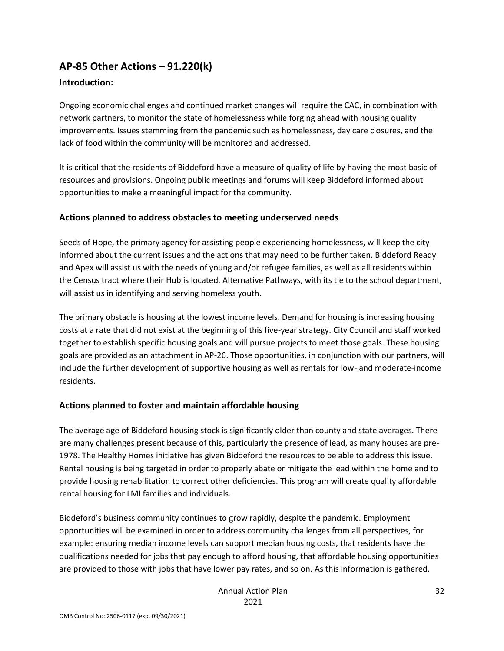## **AP-85 Other Actions – 91.220(k)**

#### **Introduction:**

Ongoing economic challenges and continued market changes will require the CAC, in combination with network partners, to monitor the state of homelessness while forging ahead with housing quality improvements. Issues stemming from the pandemic such as homelessness, day care closures, and the lack of food within the community will be monitored and addressed.

It is critical that the residents of Biddeford have a measure of quality of life by having the most basic of resources and provisions. Ongoing public meetings and forums will keep Biddeford informed about opportunities to make a meaningful impact for the community.

#### **Actions planned to address obstacles to meeting underserved needs**

Seeds of Hope, the primary agency for assisting people experiencing homelessness, will keep the city informed about the current issues and the actions that may need to be further taken. Biddeford Ready and Apex will assist us with the needs of young and/or refugee families, as well as all residents within the Census tract where their Hub is located. Alternative Pathways, with its tie to the school department, will assist us in identifying and serving homeless youth.

The primary obstacle is housing at the lowest income levels. Demand for housing is increasing housing costs at a rate that did not exist at the beginning of this five-year strategy. City Council and staff worked together to establish specific housing goals and will pursue projects to meet those goals. These housing goals are provided as an attachment in AP-26. Those opportunities, in conjunction with our partners, will include the further development of supportive housing as well as rentals for low- and moderate-income residents.

## **Actions planned to foster and maintain affordable housing**

The average age of Biddeford housing stock is significantly older than county and state averages. There are many challenges present because of this, particularly the presence of lead, as many houses are pre-1978. The Healthy Homes initiative has given Biddeford the resources to be able to address this issue. Rental housing is being targeted in order to properly abate or mitigate the lead within the home and to provide housing rehabilitation to correct other deficiencies. This program will create quality affordable rental housing for LMI families and individuals.

Biddeford's business community continues to grow rapidly, despite the pandemic. Employment opportunities will be examined in order to address community challenges from all perspectives, for example: ensuring median income levels can support median housing costs, that residents have the qualifications needed for jobs that pay enough to afford housing, that affordable housing opportunities are provided to those with jobs that have lower pay rates, and so on. As this information is gathered,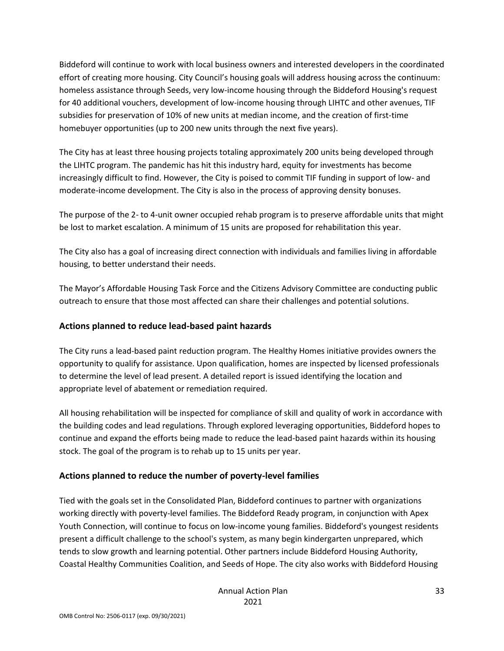Biddeford will continue to work with local business owners and interested developers in the coordinated effort of creating more housing. City Council's housing goals will address housing across the continuum: homeless assistance through Seeds, very low-income housing through the Biddeford Housing's request for 40 additional vouchers, development of low-income housing through LIHTC and other avenues, TIF subsidies for preservation of 10% of new units at median income, and the creation of first-time homebuyer opportunities (up to 200 new units through the next five years).

The City has at least three housing projects totaling approximately 200 units being developed through the LIHTC program. The pandemic has hit this industry hard, equity for investments has become increasingly difficult to find. However, the City is poised to commit TIF funding in support of low- and moderate-income development. The City is also in the process of approving density bonuses.

The purpose of the 2- to 4-unit owner occupied rehab program is to preserve affordable units that might be lost to market escalation. A minimum of 15 units are proposed for rehabilitation this year.

The City also has a goal of increasing direct connection with individuals and families living in affordable housing, to better understand their needs.

The Mayor's Affordable Housing Task Force and the Citizens Advisory Committee are conducting public outreach to ensure that those most affected can share their challenges and potential solutions.

#### **Actions planned to reduce lead-based paint hazards**

The City runs a lead-based paint reduction program. The Healthy Homes initiative provides owners the opportunity to qualify for assistance. Upon qualification, homes are inspected by licensed professionals to determine the level of lead present. A detailed report is issued identifying the location and appropriate level of abatement or remediation required.

All housing rehabilitation will be inspected for compliance of skill and quality of work in accordance with the building codes and lead regulations. Through explored leveraging opportunities, Biddeford hopes to continue and expand the efforts being made to reduce the lead-based paint hazards within its housing stock. The goal of the program is to rehab up to 15 units per year.

#### **Actions planned to reduce the number of poverty-level families**

Tied with the goals set in the Consolidated Plan, Biddeford continues to partner with organizations working directly with poverty-level families. The Biddeford Ready program, in conjunction with Apex Youth Connection, will continue to focus on low-income young families. Biddeford's youngest residents present a difficult challenge to the school's system, as many begin kindergarten unprepared, which tends to slow growth and learning potential. Other partners include Biddeford Housing Authority, Coastal Healthy Communities Coalition, and Seeds of Hope. The city also works with Biddeford Housing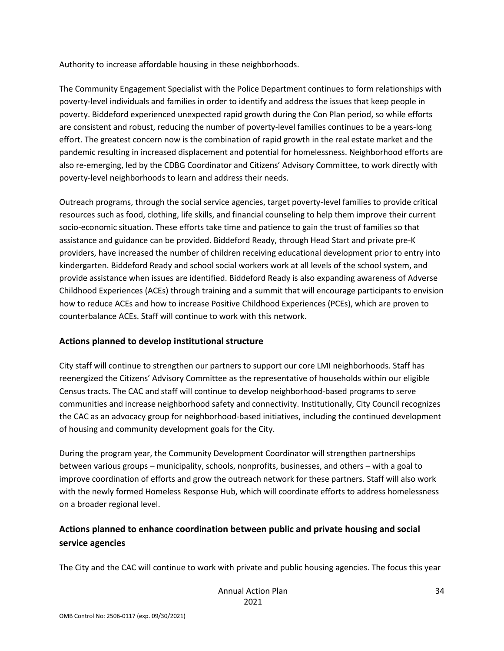Authority to increase affordable housing in these neighborhoods.

The Community Engagement Specialist with the Police Department continues to form relationships with poverty-level individuals and families in order to identify and address the issues that keep people in poverty. Biddeford experienced unexpected rapid growth during the Con Plan period, so while efforts are consistent and robust, reducing the number of poverty-level families continues to be a years-long effort. The greatest concern now is the combination of rapid growth in the real estate market and the pandemic resulting in increased displacement and potential for homelessness. Neighborhood efforts are also re-emerging, led by the CDBG Coordinator and Citizens' Advisory Committee, to work directly with poverty-level neighborhoods to learn and address their needs.

Outreach programs, through the social service agencies, target poverty-level families to provide critical resources such as food, clothing, life skills, and financial counseling to help them improve their current socio-economic situation. These efforts take time and patience to gain the trust of families so that assistance and guidance can be provided. Biddeford Ready, through Head Start and private pre-K providers, have increased the number of children receiving educational development prior to entry into kindergarten. Biddeford Ready and school social workers work at all levels of the school system, and provide assistance when issues are identified. Biddeford Ready is also expanding awareness of Adverse Childhood Experiences (ACEs) through training and a summit that will encourage participants to envision how to reduce ACEs and how to increase Positive Childhood Experiences (PCEs), which are proven to counterbalance ACEs. Staff will continue to work with this network.

#### **Actions planned to develop institutional structure**

City staff will continue to strengthen our partners to support our core LMI neighborhoods. Staff has reenergized the Citizens' Advisory Committee as the representative of households within our eligible Census tracts. The CAC and staff will continue to develop neighborhood-based programs to serve communities and increase neighborhood safety and connectivity. Institutionally, City Council recognizes the CAC as an advocacy group for neighborhood-based initiatives, including the continued development of housing and community development goals for the City.

During the program year, the Community Development Coordinator will strengthen partnerships between various groups – municipality, schools, nonprofits, businesses, and others – with a goal to improve coordination of efforts and grow the outreach network for these partners. Staff will also work with the newly formed Homeless Response Hub, which will coordinate efforts to address homelessness on a broader regional level.

## **Actions planned to enhance coordination between public and private housing and social service agencies**

The City and the CAC will continue to work with private and public housing agencies. The focus this year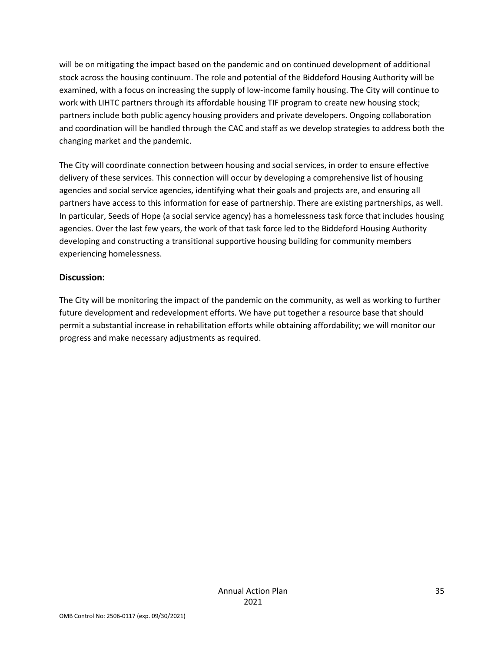will be on mitigating the impact based on the pandemic and on continued development of additional stock across the housing continuum. The role and potential of the Biddeford Housing Authority will be examined, with a focus on increasing the supply of low-income family housing. The City will continue to work with LIHTC partners through its affordable housing TIF program to create new housing stock; partners include both public agency housing providers and private developers. Ongoing collaboration and coordination will be handled through the CAC and staff as we develop strategies to address both the changing market and the pandemic.

The City will coordinate connection between housing and social services, in order to ensure effective delivery of these services. This connection will occur by developing a comprehensive list of housing agencies and social service agencies, identifying what their goals and projects are, and ensuring all partners have access to this information for ease of partnership. There are existing partnerships, as well. In particular, Seeds of Hope (a social service agency) has a homelessness task force that includes housing agencies. Over the last few years, the work of that task force led to the Biddeford Housing Authority developing and constructing a transitional supportive housing building for community members experiencing homelessness.

#### **Discussion:**

The City will be monitoring the impact of the pandemic on the community, as well as working to further future development and redevelopment efforts. We have put together a resource base that should permit a substantial increase in rehabilitation efforts while obtaining affordability; we will monitor our progress and make necessary adjustments as required.